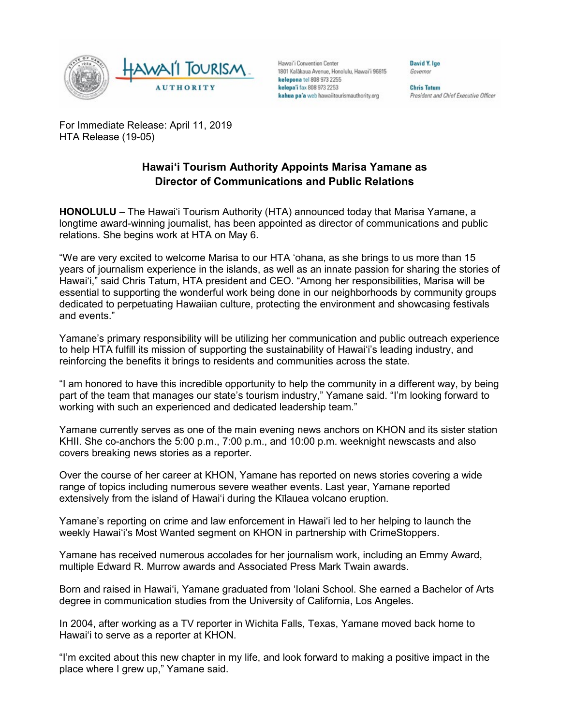

Hawai'i Convention Center 1801 Kalâkaua Avenue, Honolulu, Hawai'i 96815 kelepona tel 808 973 2255 kelepa'i fax 808 973 2253 kahua pa'a web hawaiitourismauthority.org

David Y. Ige Governor

**Chris Tatum** President and Chief Executive Officer

For Immediate Release: April 11, 2019 HTA Release (19-05)

## **Hawai'i Tourism Authority Appoints Marisa Yamane as Director of Communications and Public Relations**

**HONOLULU** – The Hawai'i Tourism Authority (HTA) announced today that Marisa Yamane, a longtime award-winning journalist, has been appointed as director of communications and public relations. She begins work at HTA on May 6.

"We are very excited to welcome Marisa to our HTA 'ohana, as she brings to us more than 15 years of journalism experience in the islands, as well as an innate passion for sharing the stories of Hawai'i," said Chris Tatum, HTA president and CEO. "Among her responsibilities, Marisa will be essential to supporting the wonderful work being done in our neighborhoods by community groups dedicated to perpetuating Hawaiian culture, protecting the environment and showcasing festivals and events."

Yamane's primary responsibility will be utilizing her communication and public outreach experience to help HTA fulfill its mission of supporting the sustainability of Hawai'i's leading industry, and reinforcing the benefits it brings to residents and communities across the state.

"I am honored to have this incredible opportunity to help the community in a different way, by being part of the team that manages our state's tourism industry," Yamane said. "I'm looking forward to working with such an experienced and dedicated leadership team."

Yamane currently serves as one of the main evening news anchors on KHON and its sister station KHII. She co-anchors the 5:00 p.m., 7:00 p.m., and 10:00 p.m. weeknight newscasts and also covers breaking news stories as a reporter.

Over the course of her career at KHON, Yamane has reported on news stories covering a wide range of topics including numerous severe weather events. Last year, Yamane reported extensively from the island of Hawai'i during the Kīlauea volcano eruption.

Yamane's reporting on crime and law enforcement in Hawai'i led to her helping to launch the weekly Hawai'i's Most Wanted segment on KHON in partnership with CrimeStoppers.

Yamane has received numerous accolades for her journalism work, including an Emmy Award, multiple Edward R. Murrow awards and Associated Press Mark Twain awards.

Born and raised in Hawai'i, Yamane graduated from 'Iolani School. She earned a Bachelor of Arts degree in communication studies from the University of California, Los Angeles.

In 2004, after working as a TV reporter in Wichita Falls, Texas, Yamane moved back home to Hawai'i to serve as a reporter at KHON.

"I'm excited about this new chapter in my life, and look forward to making a positive impact in the place where I grew up," Yamane said.